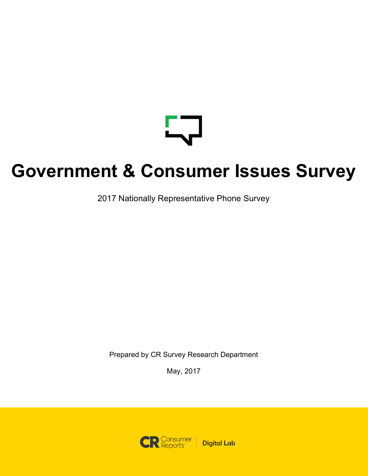

# **Government & Consumer Issues Survey**

2017 Nationally Representative Phone Survey

Prepared by CR Survey Research Department

May, 2017

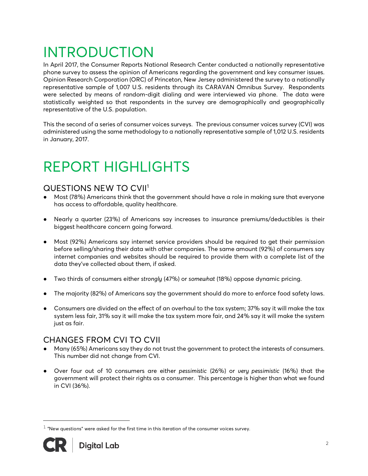## INTRODUCTION

In April 2017, the Consumer Reports National Research Center conducted a nationally representative phone survey to assess the opinion of Americans regarding the government and key consumer issues. Opinion Research Corporation (ORC) of Princeton, New Jersey administered the survey to a nationally representative sample of 1,007 U.S. residents through its CARAVAN Omnibus Survey. Respondents were selected by means of random-digit dialing and were interviewed via phone. The data were statistically weighted so that respondents in the survey are demographically and geographically representative of the U.S. population.

This the second of a series of consumer voices surveys. The previous consumer voices survey (CVI) was administered using the same methodology to a nationally representative sample of 1,012 U.S. residents in January, 2017.

## REPORT HIGHLIGHTS

## QUESTIONS NEW TO CVII1

- Most (78%) Americans think that the government should have a role in making sure that everyone has access to affordable, quality healthcare.
- Nearly a quarter (23%) of Americans say increases to insurance premiums/deductibles is their biggest healthcare concern going forward.
- Most (92%) Americans say internet service providers should be required to get their permission before selling/sharing their data with other companies. The same amount (92%) of consumers say internet companies and websites should be required to provide them with a complete list of the data they've collected about them, if asked.
- Two thirds of consumers either *strongly* (47%) or *somewhat* (18%) oppose dynamic pricing.
- The majority (82%) of Americans say the government should do more to enforce food safety laws.
- Consumers are divided on the effect of an overhaul to the tax system; 37% say it will make the tax system less fair, 31% say it will make the tax system more fair, and 24% say it will make the system just as fair.

## CHANGES FROM CVI TO CVII

- Many (65%) Americans say they do not trust the government to protect the interests of consumers. This number did not change from CVI.
- Over four out of 10 consumers are either *pessimistic* (26%) or *very pessimistic* (16%) that the government will protect their rights as a consumer. This percentage is higher than what we found in CVI (36%).

 $1$  "New questions" were asked for the first time in this iteration of the consumer voices survey.



i<br>Li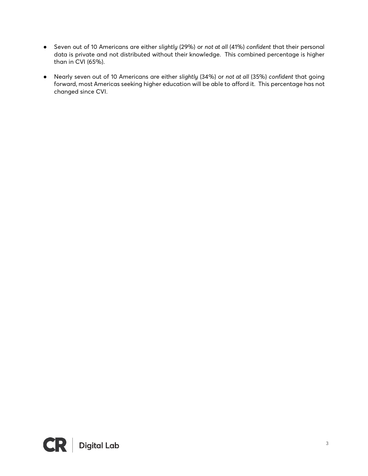- Seven out of 10 Americans are either *slightly* (29%) or *not at all* (41%) *confident* that their personal data is private and not distributed without their knowledge. This combined percentage is higher than in CVI (65%).
- Nearly seven out of 10 Americans are either *slightly* (34%) or *not at all* (35%) *confident* that going forward, most Americas seeking higher education will be able to afford it. This percentage has not changed since CVI.

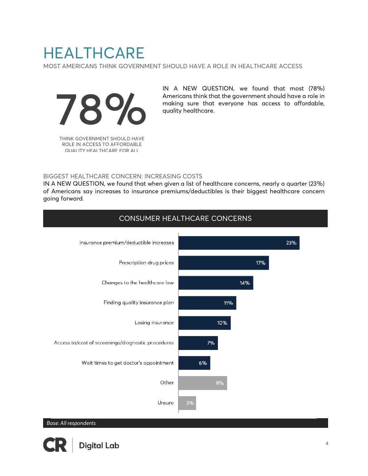## **HEALTHCARE**

MOST AMERICANS THINK GOVERNMENT SHOULD HAVE A ROLE IN HEALTHCARE ACCESS



THINK GOVERNMENT SHOULD HAVE ROLE IN ACCESS TO AFFORDABLE QUALITY HEALTHCARE FOR ALL

IN A NEW QUESTION, we found that most (78%) Americans think that the government should have a role in making sure that everyone has access to affordable, quality healthcare.

#### BIGGEST HEALTHCARE CONCERN: INCREASING COSTS

IN A NEW QUESTION, we found that when given a list of healthcare concerns, nearly a quarter (23%) of Americans say increases to insurance premiums/deductibles is their biggest healthcare concern going forward.

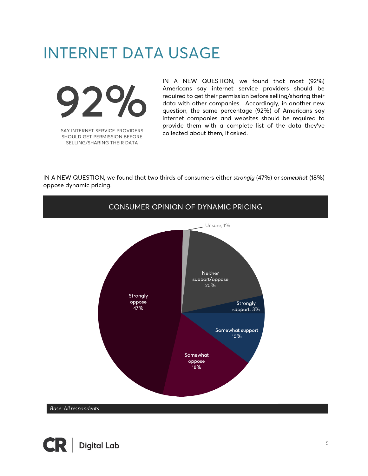## INTERNET DATA USAGE



SAY INTERNET SERVICE PROVIDERS SHOULD GET PERMISSION BEFORE SELLING/SHARING THEIR DATA

IN A NEW QUESTION, we found that most (92%) Americans say internet service providers should be required to get their permission before selling/sharing their data with other companies. Accordingly, in another new question, the same percentage (92%) of Americans say internet companies and websites should be required to provide them with a complete list of the data they've collected about them, if asked.

IN A NEW QUESTION, we found that two thirds of consumers either *strongly* (47%) or *somewhat* (18%) oppose dynamic pricing.



*Base: All respondents*

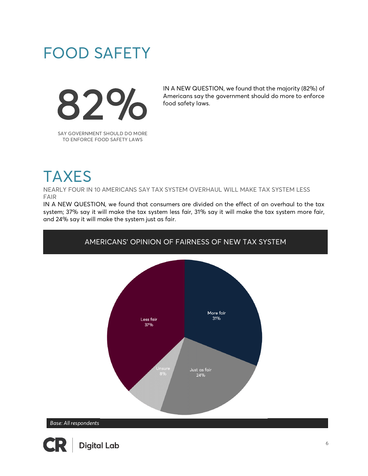## FOOD SAFETY



IN A NEW QUESTION, we found that the majority (82%) of Americans say the government should do more to enforce food safety laws.

SAY GOVERNMENT SHOULD DO MORE TO ENFORCE FOOD SAFETY LAWS

## **TAXES**

NEARLY FOUR IN 10 AMERICANS SAY TAX SYSTEM OVERHAUL WILL MAKE TAX SYSTEM LESS FAIR

IN A NEW QUESTION, we found that consumers are divided on the effect of an overhaul to the tax system; 37% say it will make the tax system less fair, 31% say it will make the tax system more fair, and 24% say it will make the system just as fair.

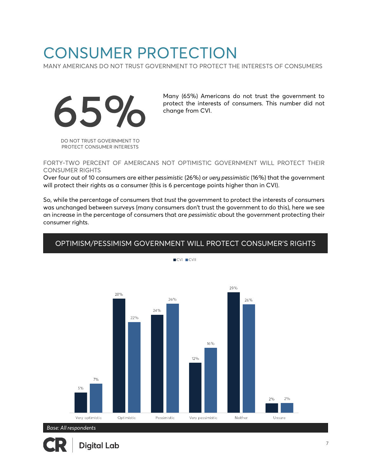## CONSUMER PROTECTION

MANY AMERICANS DO NOT TRUST GOVERNMENT TO PROTECT THE INTERESTS OF CONSUMERS



Many (65%) Americans do not trust the government to protect the interests of consumers. This number did not change from CVI.

DO NOT TRUST GOVERNMENT TO PROTECT CONSUMER INTERESTS

#### FORTY-TWO PERCENT OF AMERICANS NOT OPTIMISTIC GOVERNMENT WILL PROTECT THEIR CONSUMER RIGHTS

Over four out of 10 consumers are either *pessimistic* (26%) or *very pessimistic* (16%) that the government will protect their rights as a consumer (this is 6 percentage points higher than in CVI).

So, while the percentage of consumers that *trust* the government to protect the interests of consumers was unchanged between surveys (many consumers don't trust the government to do this), here we see an increase in the percentage of consumers that are *pessimistic* about the government protecting their consumer rights.



## OPTIMISM/PESSIMISM GOVERNMENT WILL PROTECT CONSUMER'S RIGHTS

CVI CVII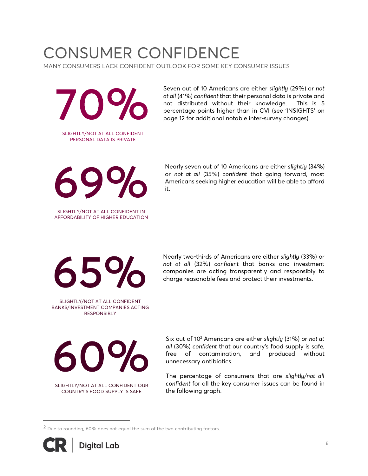# CONSUMER CONFIDENCE

MANY CONSUMERS LACK CONFIDENT OUTLOOK FOR SOME KEY CONSUMER ISSUES

70% SLIGHTLY/NOT AT ALL CONFIDENT

PERSONAL DATA IS PRIVATE

Seven out of 10 Americans are either *slightly* (29%) or *not at all* (41%) *confident* that their personal data is private and not distributed without their knowledge. This is 5 percentage points higher than in CVI (see 'INSIGHTS' on page 12 for additional notable inter-survey changes).



SLIGHTLY/NOT AT ALL CONFIDENT IN AFFORDABILITY OF HIGHER EDUCATION

Nearly seven out of 10 Americans are either *slightly* (34%) or *not at all* (35%) *confident* that going forward, most Americans seeking higher education will be able to afford it.



SLIGHTLY/NOT AT ALL CONFIDENT BANKS/INVESTMENT COMPANIES ACTING RESPONSIBLY

Nearly two-thirds of Americans are either *slightly* (33%) or *not at all* (32%) *confident* that banks and investment companies are acting transparently and responsibly to charge reasonable fees and protect their investments.



SLIGHTLY/NOT AT ALL CONFIDENT OUR COUNTRY'S FOOD SUPPLY IS SAFE

Six out of 10*<sup>2</sup>* Americans are either *slightly* (31%) or *not at all* (30%) *confident* that our country's food supply is safe, free of contamination, and produced without unnecessary antibiotics.

The percentage of consumers that are *slightly/not all confident* for all the key consumer issues can be found in the following graph.

<sup>2</sup> Due to rounding, 60% does not equal the sum of the two contributing factors.



i<br>Li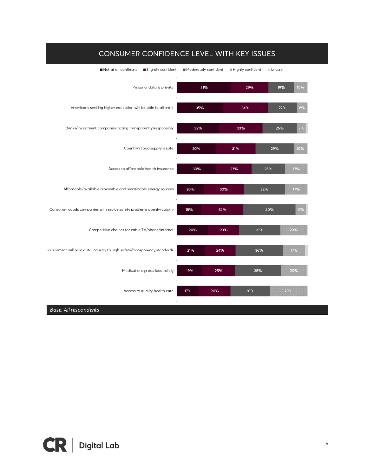

## CONSUMER CONFIDENCE LEVEL WITH KEY ISSUES

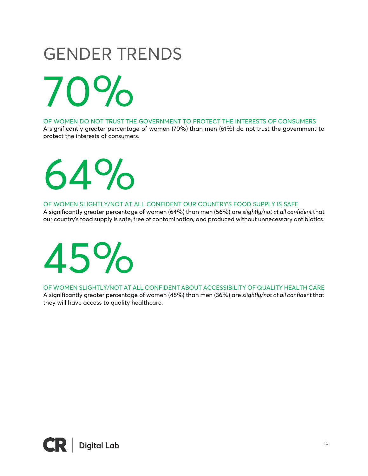# GENDER TRENDS

70%

OF WOMEN DO NOT TRUST THE GOVERNMENT TO PROTECT THE INTERESTS OF CONSUMERS

A significantly greater percentage of women (70%) than men (61%) do not trust the government to protect the interests of consumers.

64%

#### OF WOMEN SLIGHTLY/NOT AT ALL CONFIDENT OUR COUNTRY'S FOOD SUPPLY IS SAFE

A significantly greater percentage of women (64%) than men (56%) are *slightly/not at all confident* that our country's food supply is safe, free of contamination, and produced without unnecessary antibiotics.



OF WOMEN SLIGHTLY/NOT AT ALL CONFIDENT ABOUT ACCESSIBILITY OF QUALITY HEALTH CARE

A significantly greater percentage of women (45%) than men (36%) are *slightly/not at all confident* that they will have access to quality healthcare.

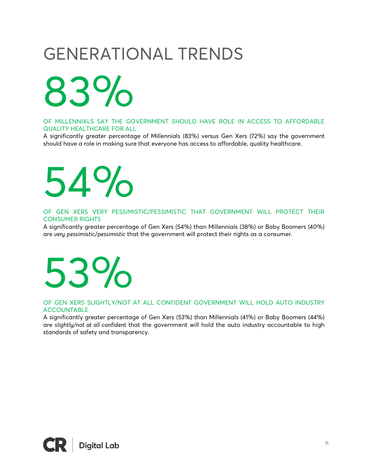# GENERATIONAL TRENDS

83%

OF MILLENNIALS SAY THE GOVERNMENT SHOULD HAVE ROLE IN ACCESS TO AFFORDABLE QUALITY HEALTHCARE FOR ALL

A significantly greater percentage of Millennials (83%) versus Gen Xers (72%) say the government should have a role in making sure that everyone has access to affordable, quality healthcare.

# 54%

OF GEN XERS VERY PESSIMISTIC/PESSIMISTIC THAT GOVERNMENT WILL PROTECT THEIR CONSUMER RIGHTS

A significantly greater percentage of Gen Xers (54%) than Millennials (38%) or Baby Boomers (40%) are *very pessimistic*/*pessimistic* that the government will protect their rights as a consumer.

# 53%

#### OF GEN XERS SLIGHTLY/NOT AT ALL CONFIDENT GOVERNMENT WILL HOLD AUTO INDUSTRY ACCOUNTABLE

A significantly greater percentage of Gen Xers (53%) than Millennials (41%) or Baby Boomers (44%) are *slightly/not at all confident* that the government will hold the auto industry accountable to high standards of safety and transparency.

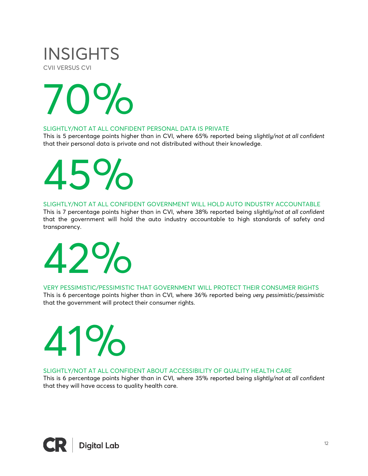## INSIGHTS CVII VERSUS CVI



#### SLIGHTLY/NOT AT ALL CONFIDENT PERSONAL DATA IS PRIVATE

This is 5 percentage points higher than in CVI, where 65% reported being *slightly/not at all confident* that their personal data is private and not distributed without their knowledge.

# 45%

SLIGHTLY/NOT AT ALL CONFIDENT GOVERNMENT WILL HOLD AUTO INDUSTRY ACCOUNTABLE

This is 7 percentage points higher than in CVI, where 38% reported being *slightly/not at all confident* that the government will hold the auto industry accountable to high standards of safety and transparency.



## VERY PESSIMISTIC/PESSIMISTIC THAT GOVERNMENT WILL PROTECT THEIR CONSUMER RIGHTS

This is 6 percentage points higher than in CVI, where 36% reported being *very pessimistic/pessimistic*  that the government will protect their consumer rights.

# 41%

SLIGHTLY/NOT AT ALL CONFIDENT ABOUT ACCESSIBILITY OF QUALITY HEALTH CARE

This is 6 percentage points higher than in CVI, where 35% reported being *slightly/not at all confident* that they will have access to quality health care.

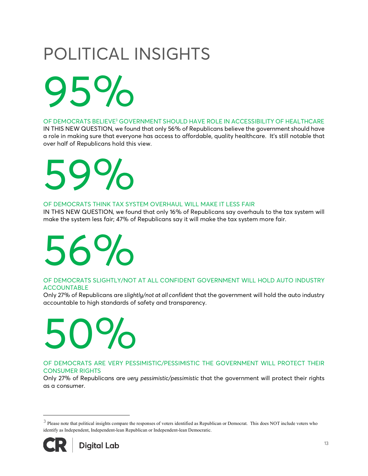# POLITICAL INSIGHTS

95%

OF DEMOCRATS BELIEVE3 GOVERNMENT SHOULD HAVE ROLE IN ACCESSIBILITY OF HEALTHCARE

IN THIS NEW QUESTION, we found that only 56% of Republicans believe the government should have a role in making sure that everyone has access to affordable, quality healthcare. It's still notable that over half of Republicans hold this view.

# 59%

## OF DEMOCRATS THINK TAX SYSTEM OVERHAUL WILL MAKE IT LESS FAIR

IN THIS NEW QUESTION, we found that only 16% of Republicans say overhauls to the tax system will make the system less fair; 47% of Republicans say it will make the tax system more fair.



## OF DEMOCRATS SLIGHTLY/NOT AT ALL CONFIDENT GOVERNMENT WILL HOLD AUTO INDUSTRY ACCOUNTABLE

Only 27% of Republicans are *slightly/not at all confident* that the government will hold the auto industry accountable to high standards of safety and transparency.

# 50%

#### OF DEMOCRATS ARE VERY PESSIMISTIC/PESSIMISTIC THE GOVERNMENT WILL PROTECT THEIR CONSUMER RIGHTS

Only 27% of Republicans are *very pessimistic/pessimistic* that the government will protect their rights as a consumer.

<sup>&</sup>lt;sup>3</sup> Please note that political insights compare the responses of voters identified as Republican or Democrat. This does NOT include voters who identify as Independent, Independent-lean Republican or Independent-lean Democratic.



i<br>Li